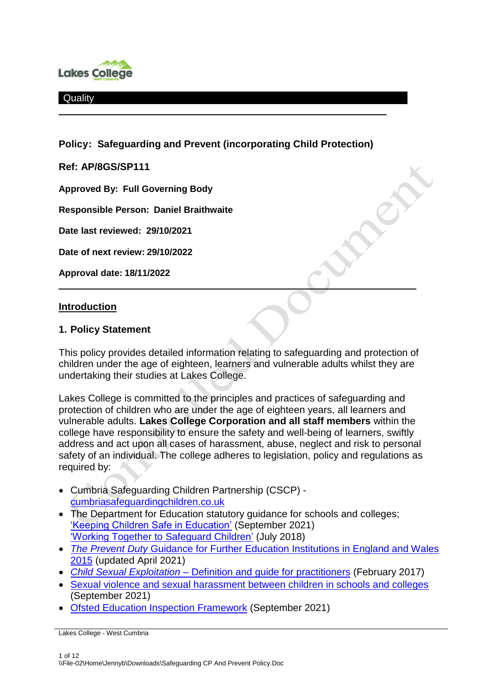

**Policy: Safeguarding and Prevent (incorporating Child Protection)**

**Ref: AP/8GS/SP111**

**Approved By: Full Governing Body**

**Responsible Person: Daniel Braithwaite**

**Date last reviewed: 29/10/2021**

**Date of next review: 29/10/2022**

**Approval date: 18/11/2022**

#### **Introduction**

#### **1. Policy Statement**

This policy provides detailed information relating to safeguarding and protection of children under the age of eighteen, learners and vulnerable adults whilst they are undertaking their studies at Lakes College.

Lakes College is committed to the principles and practices of safeguarding and protection of children who are under the age of eighteen years, all learners and vulnerable adults. **Lakes College Corporation and all staff members** within the college have responsibility to ensure the safety and well-being of learners, swiftly address and act upon all cases of harassment, abuse, neglect and risk to personal safety of an individual. The college adheres to legislation, policy and regulations as required by:

- Cumbria Safeguarding Children Partnership (CSCP) [cumbriasafeguardingchildren.co.uk](https://cumbriasafeguardingchildren.co.uk/default.asp)
- The Department for Education statutory guidance for schools and colleges; ['Keeping Children Safe in Education'](https://assets.publishing.service.gov.uk/government/uploads/system/uploads/attachment_data/file/1014057/KCSIE_2021_September.pdf) (September 2021) ['Working Together to Safeguard Children'](https://assets.publishing.service.gov.uk/government/uploads/system/uploads/attachment_data/file/942454/Working_together_to_safeguard_children_inter_agency_guidance.pdf) (July 2018)
- *The Prevent Duty* [Guidance for Further Education Institutions in England and Wales](https://www.gov.uk/government/publications/prevent-duty-guidance/revised-prevent-duty-guidance-for-england-and-wales)  [2015](https://www.gov.uk/government/publications/prevent-duty-guidance/revised-prevent-duty-guidance-for-england-and-wales) (updated April 2021)
- *Child Sexual Exploitation* [Definition and guide for practitioners](https://assets.publishing.service.gov.uk/government/uploads/system/uploads/attachment_data/file/591903/CSE_Guidance_Core_Document_13.02.2017.pdf) (February 2017)
- [Sexual violence and sexual harassment between children in schools and colleges](https://assets.publishing.service.gov.uk/government/uploads/system/uploads/attachment_data/file/1014224/Sexual_violence_and_sexual_harassment_between_children_in_schools_and_colleges.pdf) (September 2021)
- [Ofsted Education Inspection Framework](https://www.gov.uk/government/publications/education-inspection-framework) (September 2021)

Lakes College - West Cumbria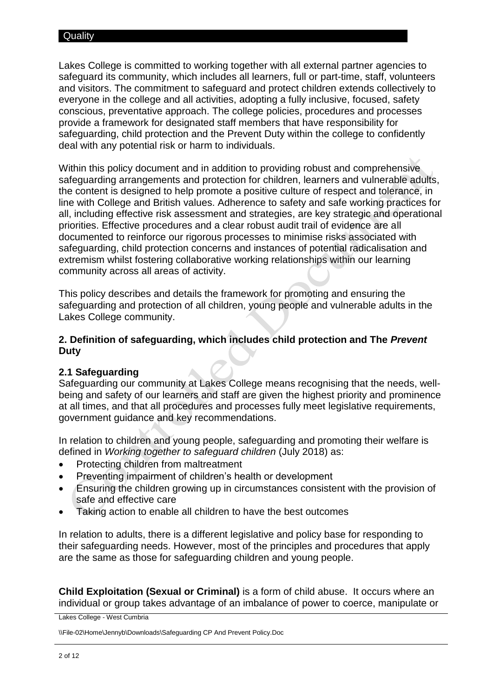Lakes College is committed to working together with all external partner agencies to safeguard its community, which includes all learners, full or part-time, staff, volunteers and visitors. The commitment to safeguard and protect children extends collectively to everyone in the college and all activities, adopting a fully inclusive, focused, safety conscious, preventative approach. The college policies, procedures and processes provide a framework for designated staff members that have responsibility for safeguarding, child protection and the Prevent Duty within the college to confidently deal with any potential risk or harm to individuals.

Within this policy document and in addition to providing robust and comprehensive safeguarding arrangements and protection for children, learners and vulnerable adults, the content is designed to help promote a positive culture of respect and tolerance, in line with College and British values. Adherence to safety and safe working practices for all, including effective risk assessment and strategies, are key strategic and operational priorities. Effective procedures and a clear robust audit trail of evidence are all documented to reinforce our rigorous processes to minimise risks associated with safeguarding, child protection concerns and instances of potential radicalisation and extremism whilst fostering collaborative working relationships within our learning community across all areas of activity.

This policy describes and details the framework for promoting and ensuring the safeguarding and protection of all children, young people and vulnerable adults in the Lakes College community.

## **2. Definition of safeguarding, which includes child protection and The** *Prevent*  **Duty**

#### **2.1 Safeguarding**

Safeguarding our community at Lakes College means recognising that the needs, wellbeing and safety of our learners and staff are given the highest priority and prominence at all times, and that all procedures and processes fully meet legislative requirements, government guidance and key recommendations.

In relation to children and young people, safeguarding and promoting their welfare is defined in *Working together to safeguard children* (July 2018) as:

- Protecting children from maltreatment
- Preventing impairment of children's health or development
- Ensuring the children growing up in circumstances consistent with the provision of safe and effective care
- Taking action to enable all children to have the best outcomes

In relation to adults, there is a different legislative and policy base for responding to their safeguarding needs. However, most of the principles and procedures that apply are the same as those for safeguarding children and young people.

**Child Exploitation (Sexual or Criminal)** is a form of child abuse. It occurs where an individual or group takes advantage of an imbalance of power to coerce, manipulate or

Lakes College - West Cumbria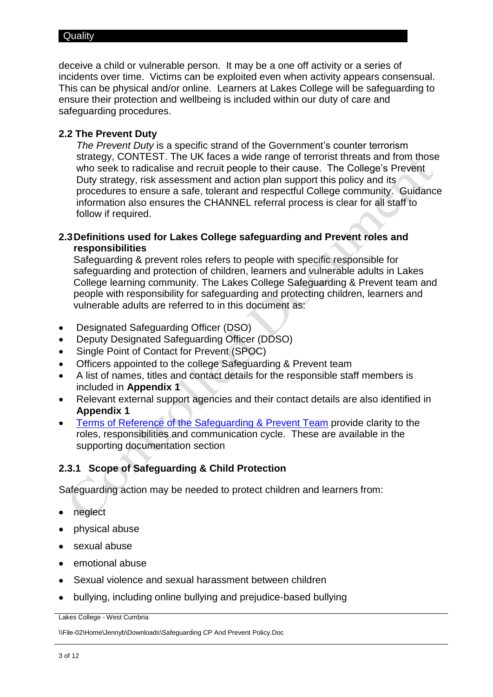deceive a child or vulnerable person. It may be a one off activity or a series of incidents over time. Victims can be exploited even when activity appears consensual. This can be physical and/or online. Learners at Lakes College will be safeguarding to ensure their protection and wellbeing is included within our duty of care and safeguarding procedures.

## **2.2 The Prevent Duty**

*The Prevent Duty* is a specific strand of the Government's counter terrorism strategy, CONTEST. The UK faces a wide range of terrorist threats and from those who seek to radicalise and recruit people to their cause. The College's Prevent Duty strategy, risk assessment and action plan support this policy and its procedures to ensure a safe, tolerant and respectful College community. Guidance information also ensures the CHANNEL referral process is clear for all staff to follow if required.

# **2.3Definitions used for Lakes College safeguarding and Prevent roles and responsibilities**

Safeguarding & prevent roles refers to people with specific responsible for safeguarding and protection of children, learners and vulnerable adults in Lakes College learning community. The Lakes College Safeguarding & Prevent team and people with responsibility for safeguarding and protecting children, learners and vulnerable adults are referred to in this document as:

- Designated Safeguarding Officer (DSO)
- Deputy Designated Safeguarding Officer (DDSO)
- Single Point of Contact for Prevent (SPOC)
- Officers appointed to the college Safeguarding & Prevent team
- A list of names, titles and contact details for the responsible staff members is included in **Appendix 1**
- Relevant external support agencies and their contact details are also identified in **Appendix 1**
- Terms of Reference [of the Safeguarding & Prevent Team](https://livelcwcac.sharepoint.com/:w:/r/sites/quality/pp/Master%20Files/Lakes%20College%20SG%26P%20Team%20meeting%20ToR%202021-22.docx?d=wc589c3f04f724dfa85d8ab0e47716d5d&csf=1&web=1&e=5FRzPU) provide clarity to the roles, responsibilities and communication cycle. These are available in the supporting documentation section

# **2.3.1 Scope of Safeguarding & Child Protection**

Safeguarding action may be needed to protect children and learners from:

- neglect
- physical abuse
- sexual abuse
- emotional abuse
- Sexual violence and sexual harassment between children
- bullying, including online bullying and prejudice-based bullying

Lakes College - West Cumbria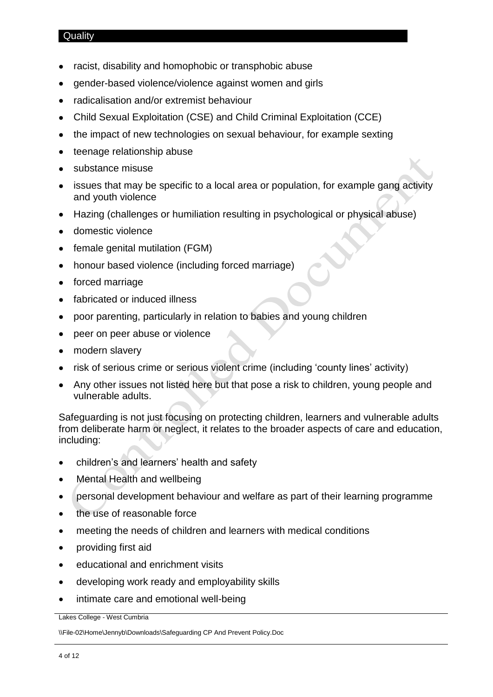- racist, disability and homophobic or transphobic abuse
- gender-based violence/violence against women and girls
- radicalisation and/or extremist behaviour
- Child Sexual Exploitation (CSE) and Child Criminal Exploitation (CCE)
- the impact of new technologies on sexual behaviour, for example sexting
- teenage relationship abuse
- substance misuse
- issues that may be specific to a local area or population, for example gang activity and youth violence
- Hazing (challenges or humiliation resulting in psychological or physical abuse)
- domestic violence
- female genital mutilation (FGM)
- honour based violence (including forced marriage)
- forced marriage
- fabricated or induced illness
- poor parenting, particularly in relation to babies and young children
- peer on peer abuse or violence
- modern slavery
- risk of serious crime or serious violent crime (including 'county lines' activity)
- Any other issues not listed here but that pose a risk to children, young people and vulnerable adults.

Safeguarding is not just focusing on protecting children, learners and vulnerable adults from deliberate harm or neglect, it relates to the broader aspects of care and education, including:

- children's and learners' health and safety
- Mental Health and wellbeing
- personal development behaviour and welfare as part of their learning programme
- the use of reasonable force
- meeting the needs of children and learners with medical conditions
- providing first aid
- educational and enrichment visits
- developing work ready and employability skills
- intimate care and emotional well-being

Lakes College - West Cumbria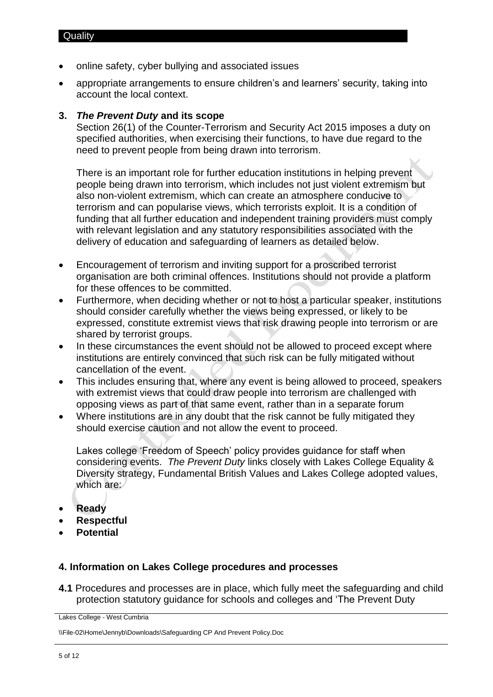- online safety, cyber bullying and associated issues
- appropriate arrangements to ensure children's and learners' security, taking into account the local context.

#### **3.** *The Prevent Duty* **and its scope**

Section 26(1) of the Counter-Terrorism and Security Act 2015 imposes a duty on specified authorities, when exercising their functions, to have due regard to the need to prevent people from being drawn into terrorism.

There is an important role for further education institutions in helping prevent people being drawn into terrorism, which includes not just violent extremism but also non-violent extremism, which can create an atmosphere conducive to terrorism and can popularise views, which terrorists exploit. It is a condition of funding that all further education and independent training providers must comply with relevant legislation and any statutory responsibilities associated with the delivery of education and safeguarding of learners as detailed below.

- Encouragement of terrorism and inviting support for a proscribed terrorist organisation are both criminal offences. Institutions should not provide a platform for these offences to be committed.
- Furthermore, when deciding whether or not to host a particular speaker, institutions should consider carefully whether the views being expressed, or likely to be expressed, constitute extremist views that risk drawing people into terrorism or are shared by terrorist groups.
- In these circumstances the event should not be allowed to proceed except where institutions are entirely convinced that such risk can be fully mitigated without cancellation of the event.
- This includes ensuring that, where any event is being allowed to proceed, speakers with extremist views that could draw people into terrorism are challenged with opposing views as part of that same event, rather than in a separate forum
- Where institutions are in any doubt that the risk cannot be fully mitigated they should exercise caution and not allow the event to proceed.

Lakes college 'Freedom of Speech' policy provides guidance for staff when considering events. *The Prevent Duty* links closely with Lakes College Equality & Diversity strategy, Fundamental British Values and Lakes College adopted values, which are:

- **Ready**
- **Respectful**
- **Potential**

#### **4. Information on Lakes College procedures and processes**

**4.1** Procedures and processes are in place, which fully meet the safeguarding and child protection statutory guidance for schools and colleges and 'The Prevent Duty

Lakes College - West Cumbria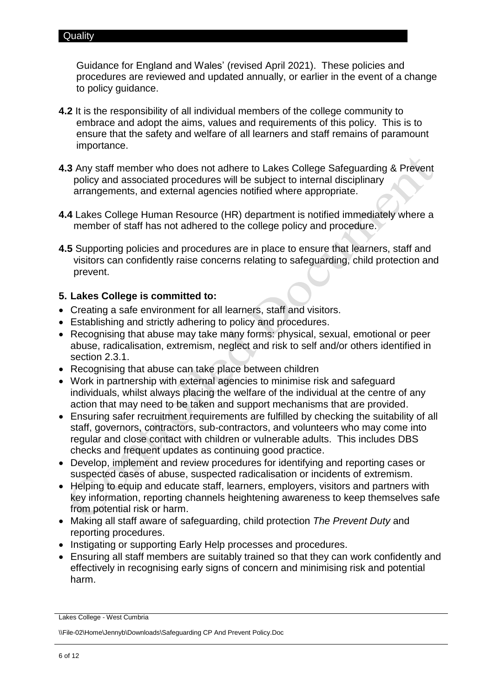Guidance for England and Wales' (revised April 2021). These policies and procedures are reviewed and updated annually, or earlier in the event of a change to policy guidance.

- **4.2** It is the responsibility of all individual members of the college community to embrace and adopt the aims, values and requirements of this policy. This is to ensure that the safety and welfare of all learners and staff remains of paramount importance.
- **4.3** Any staff member who does not adhere to Lakes College Safeguarding & Prevent policy and associated procedures will be subject to internal disciplinary arrangements, and external agencies notified where appropriate.
- **4.4** Lakes College Human Resource (HR) department is notified immediately where a member of staff has not adhered to the college policy and procedure.
- **4.5** Supporting policies and procedures are in place to ensure that learners, staff and visitors can confidently raise concerns relating to safeguarding, child protection and prevent.

# **5. Lakes College is committed to:**

- Creating a safe environment for all learners, staff and visitors.
- Establishing and strictly adhering to policy and procedures.
- Recognising that abuse may take many forms: physical, sexual, emotional or peer abuse, radicalisation, extremism, neglect and risk to self and/or others identified in section 2.3.1.
- Recognising that abuse can take place between children
- Work in partnership with external agencies to minimise risk and safeguard individuals, whilst always placing the welfare of the individual at the centre of any action that may need to be taken and support mechanisms that are provided.
- Ensuring safer recruitment requirements are fulfilled by checking the suitability of all staff, governors, contractors, sub-contractors, and volunteers who may come into regular and close contact with children or vulnerable adults. This includes DBS checks and frequent updates as continuing good practice.
- Develop, implement and review procedures for identifying and reporting cases or suspected cases of abuse, suspected radicalisation or incidents of extremism.
- Helping to equip and educate staff, learners, employers, visitors and partners with key information, reporting channels heightening awareness to keep themselves safe from potential risk or harm.
- Making all staff aware of safeguarding, child protection *The Prevent Duty* and reporting procedures.
- Instigating or supporting Early Help processes and procedures.
- Ensuring all staff members are suitably trained so that they can work confidently and effectively in recognising early signs of concern and minimising risk and potential harm.

Lakes College - West Cumbria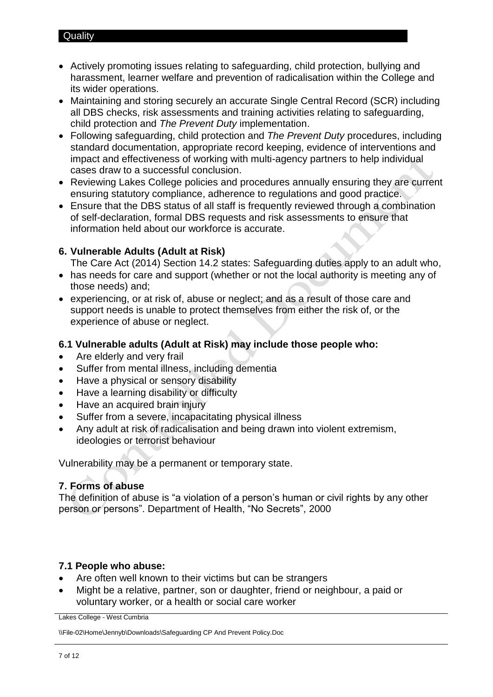- Actively promoting issues relating to safeguarding, child protection, bullying and harassment, learner welfare and prevention of radicalisation within the College and its wider operations.
- Maintaining and storing securely an accurate Single Central Record (SCR) including all DBS checks, risk assessments and training activities relating to safeguarding, child protection and *The Prevent Duty* implementation.
- Following safeguarding, child protection and *The Prevent Duty* procedures, including standard documentation, appropriate record keeping, evidence of interventions and impact and effectiveness of working with multi-agency partners to help individual cases draw to a successful conclusion.
- Reviewing Lakes College policies and procedures annually ensuring they are current ensuring statutory compliance, adherence to regulations and good practice.
- Ensure that the DBS status of all staff is frequently reviewed through a combination of self-declaration, formal DBS requests and risk assessments to ensure that information held about our workforce is accurate.

# **6. Vulnerable Adults (Adult at Risk)**

The Care Act (2014) Section 14.2 states: Safeguarding duties apply to an adult who,

- has needs for care and support (whether or not the local authority is meeting any of those needs) and;
- experiencing, or at risk of, abuse or neglect; and as a result of those care and support needs is unable to protect themselves from either the risk of, or the experience of abuse or neglect.

# **6.1 Vulnerable adults (Adult at Risk) may include those people who:**

- Are elderly and very frail
- Suffer from mental illness, including dementia
- Have a physical or sensory disability
- Have a learning disability or difficulty
- Have an acquired brain injury
- Suffer from a severe, incapacitating physical illness
- Any adult at risk of radicalisation and being drawn into violent extremism, ideologies or terrorist behaviour

Vulnerability may be a permanent or temporary state.

# **7. Forms of abuse**

The definition of abuse is "a violation of a person's human or civil rights by any other person or persons". Department of Health, "No Secrets", 2000

# **7.1 People who abuse:**

- Are often well known to their victims but can be strangers
- Might be a relative, partner, son or daughter, friend or neighbour, a paid or voluntary worker, or a health or social care worker

Lakes College - West Cumbria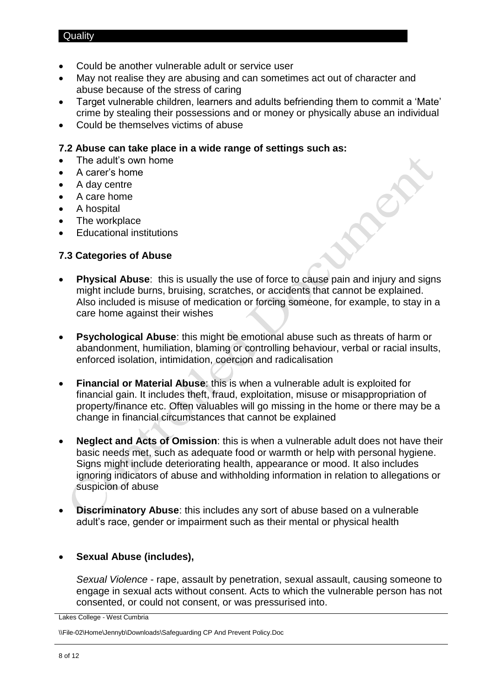- Could be another vulnerable adult or service user
- May not realise they are abusing and can sometimes act out of character and abuse because of the stress of caring
- Target vulnerable children, learners and adults befriending them to commit a 'Mate' crime by stealing their possessions and or money or physically abuse an individual
- Could be themselves victims of abuse

# **7.2 Abuse can take place in a wide range of settings such as:**

- The adult's own home
- A carer's home
- A day centre
- A care home
- A hospital
- The workplace
- Educational institutions

# **7.3 Categories of Abuse**

- **Physical Abuse**: this is usually the use of force to cause pain and injury and signs might include burns, bruising, scratches, or accidents that cannot be explained. Also included is misuse of medication or forcing someone, for example, to stay in a care home against their wishes
- **Psychological Abuse**: this might be emotional abuse such as threats of harm or abandonment, humiliation, blaming or controlling behaviour, verbal or racial insults, enforced isolation, intimidation, coercion and radicalisation
- **Financial or Material Abuse**: this is when a vulnerable adult is exploited for financial gain. It includes theft, fraud, exploitation, misuse or misappropriation of property/finance etc. Often valuables will go missing in the home or there may be a change in financial circumstances that cannot be explained
- **Neglect and Acts of Omission**: this is when a vulnerable adult does not have their basic needs met, such as adequate food or warmth or help with personal hygiene. Signs might include deteriorating health, appearance or mood. It also includes ignoring indicators of abuse and withholding information in relation to allegations or suspicion of abuse
- **Discriminatory Abuse**: this includes any sort of abuse based on a vulnerable adult's race, gender or impairment such as their mental or physical health

# **Sexual Abuse (includes),**

*Sexual Violence* - rape, assault by penetration, sexual assault, causing someone to engage in sexual acts without consent. Acts to which the vulnerable person has not consented, or could not consent, or was pressurised into.

Lakes College - West Cumbria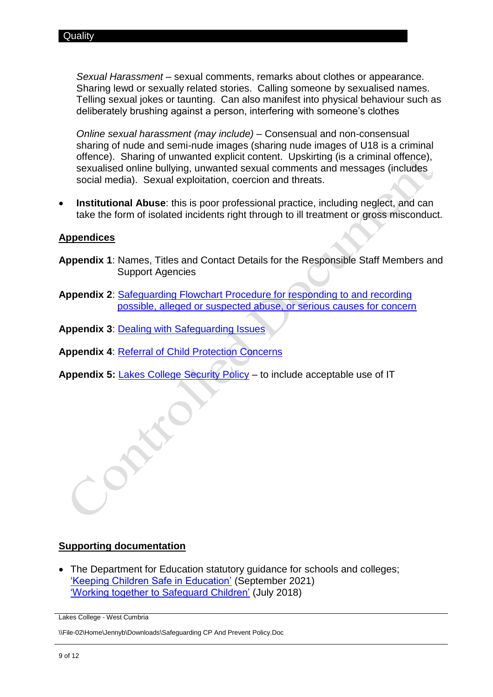*Sexual Harassment* – sexual comments, remarks about clothes or appearance. Sharing lewd or sexually related stories. Calling someone by sexualised names. Telling sexual jokes or taunting. Can also manifest into physical behaviour such as deliberately brushing against a person, interfering with someone's clothes

*Online sexual harassment (may include)* – Consensual and non-consensual sharing of nude and semi-nude images (sharing nude images of U18 is a criminal offence). Sharing of unwanted explicit content. Upskirting (is a criminal offence), sexualised online bullying, unwanted sexual comments and messages (includes social media). Sexual exploitation, coercion and threats.

 **Institutional Abuse**: this is poor professional practice, including neglect, and can take the form of isolated incidents right through to ill treatment or gross misconduct.

## **Appendices**

- **Appendix 1**: Names, Titles and Contact Details for the Responsible Staff Members and Support Agencies
- **Appendix 2**: [Safeguarding Flowchart Procedure for responding to and recording](https://livelcwcac.sharepoint.com/:w:/r/sites/quality/pp/Master%20Files/Safeguarding%20Flowchart%20Procedure%20.docx?d=wecc6f760e2dd434cb459982f6b57f05f&csf=1&web=1&e=AmboBq)  [possible, alleged or suspected abuse, or serious causes for concern](https://livelcwcac.sharepoint.com/:w:/r/sites/quality/pp/Master%20Files/Safeguarding%20Flowchart%20Procedure%20.docx?d=wecc6f760e2dd434cb459982f6b57f05f&csf=1&web=1&e=AmboBq)
- **Appendix 3**: [Dealing with Safeguarding Issues](https://livelcwcac.sharepoint.com/:w:/r/sites/quality/pp/Master%20Files/Dealing%20with%20Safeguarding%20Issues%20Policy%20.docx?d=w9be789d1113e4c15915ae17839bf7c71&csf=1&web=1&e=jeQwd6)

**Appendix 4**: [Referral of Child Protection Concerns](file://///Mayhem/Group/Quality/Master%20Files/8%20-%20Guidance%20Services/Procedures/Child%20Protection-%20Referrals%20to%20Social%20Services%20to%20support%20students%20and%20families.docx)

Appendix 5: **[Lakes College Security Policy](https://livelcwcac.sharepoint.com/sites/quality/pp/Master%20Files/Security%20Policy.docx)** – to include acceptable use of IT

#### **Supporting documentation**

• The Department for Education statutory guidance for schools and colleges; ['Keeping Children Safe in Education'](https://assets.publishing.service.gov.uk/government/uploads/system/uploads/attachment_data/file/1014057/KCSIE_2021_September.pdf) (September 2021) ['Working together to Safeguard Children'](https://assets.publishing.service.gov.uk/government/uploads/system/uploads/attachment_data/file/942454/Working_together_to_safeguard_children_inter_agency_guidance.pdf) (July 2018)

Lakes College - West Cumbria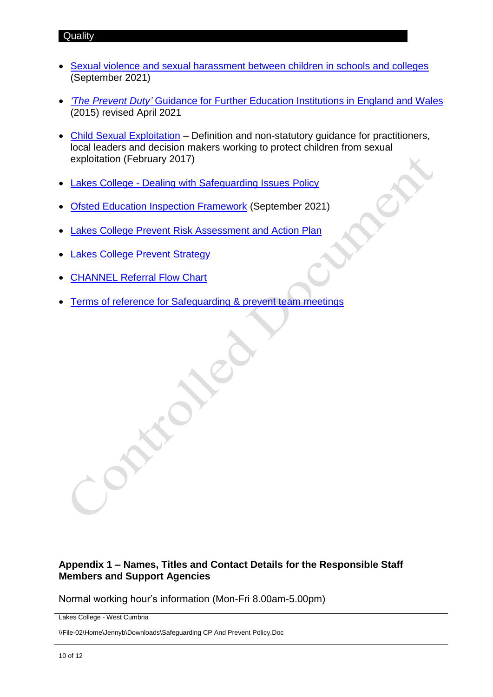- [Sexual violence and sexual harassment between children in schools and colleges](https://assets.publishing.service.gov.uk/government/uploads/system/uploads/attachment_data/file/1014224/Sexual_violence_and_sexual_harassment_between_children_in_schools_and_colleges.pdf) (September 2021)
- *'The Prevent Duty'* [Guidance for Further Education Institutions in England and Wales](https://www.gov.uk/government/publications/prevent-duty-guidance/revised-prevent-duty-guidance-for-england-and-wales) (2015) revised April 2021
- [Child Sexual Exploitation](https://assets.publishing.service.gov.uk/government/uploads/system/uploads/attachment_data/file/591903/CSE_Guidance_Core_Document_13.02.2017.pdf) Definition and non-statutory guidance for practitioners, local leaders and decision makers working to protect children from sexual exploitation (February 2017)
- Lakes College [Dealing with Safeguarding Issues](https://livelcwcac.sharepoint.com/:w:/r/sites/quality/pp/Master%20Files/Dealing%20with%20Safeguarding%20Issues%20Policy%20.docx?d=w9be789d1113e4c15915ae17839bf7c71&csf=1&web=1&e=ePTFrd) Policy
- [Ofsted Education Inspection Framework](https://www.gov.uk/government/publications/education-inspection-framework) (September 2021)
- [Lakes College Prevent Risk Assessment and Action Plan](file://///Mayhem/Group/Quality/Master%20Files/8%20-%20Guidance%20Services/Policies/Supporting%20Documents/Lakes%20College%20Prevent%20RA&AP%202016-17.docx)
- [Lakes College Prevent](file://///Mayhem/Group/Quality/Master%20Files/8%20-%20Guidance%20Services/Policies/Supporting%20Documents/Lakes%20College%20Prevent%20Strategy%202016.docx) Strategy
- [CHANNEL Referral Flow Chart](file://///Mayhem/Group/Quality/Master%20Files/8%20-%20Guidance%20Services/Policies/Supporting%20Documents/Lakes%20College%20Channel%20Referral%20Flowchart.docx)
- [Terms of reference for Safeguarding & prevent team](https://livelcwcac.sharepoint.com/:w:/r/sites/quality/pp/Master%20Files/Lakes%20College%20SG%26P%20Team%20meeting%20ToR%202021-22.docx?d=wc589c3f04f724dfa85d8ab0e47716d5d&csf=1&web=1&e=5FRzPU) meetings

# **Appendix 1 – Names, Titles and Contact Details for the Responsible Staff Members and Support Agencies**

Normal working hour's information (Mon-Fri 8.00am-5.00pm)

Lakes College - West Cumbria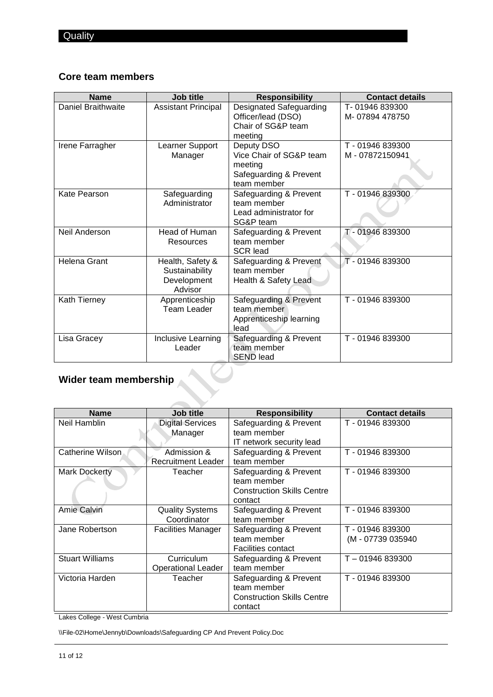# **Core team members**

| <b>Name</b>           | Job title                                                    | <b>Responsibility</b>                                                                     | <b>Contact details</b>            |
|-----------------------|--------------------------------------------------------------|-------------------------------------------------------------------------------------------|-----------------------------------|
| Daniel Braithwaite    | <b>Assistant Principal</b>                                   | Designated Safeguarding<br>Officer/lead (DSO)<br>Chair of SG&P team<br>meeting            | T-01946839300<br>M-07894 478750   |
| Irene Farragher       | Learner Support<br>Manager                                   | Deputy DSO<br>Vice Chair of SG&P team<br>meeting<br>Safeguarding & Prevent<br>team member | T - 01946 839300<br>M-07872150941 |
| Kate Pearson          | Safeguarding<br>Administrator                                | Safeguarding & Prevent<br>team member<br>Lead administrator for<br>SG&P team              | T - 01946 839300                  |
| Neil Anderson         | Head of Human<br>Resources                                   | Safeguarding & Prevent<br>team member<br><b>SCR lead</b>                                  | T-01946 839300                    |
| Helena Grant          | Health, Safety &<br>Sustainability<br>Development<br>Advisor | Safeguarding & Prevent<br>team member<br>Health & Safety Lead                             | T - 01946 839300                  |
| Kath Tierney          | Apprenticeship<br><b>Team Leader</b>                         | Safeguarding & Prevent<br>team member<br>Apprenticeship learning<br>lead                  | T - 01946 839300                  |
| Lisa Gracey           | Inclusive Learning<br>Leader                                 | Safeguarding & Prevent<br>team member<br><b>SEND lead</b>                                 | T-01946839300                     |
| Wider team membership |                                                              |                                                                                           |                                   |

# **Wider team membership**

| <b>Name</b>                | Job title                 | <b>Responsibility</b>             | <b>Contact details</b> |
|----------------------------|---------------------------|-----------------------------------|------------------------|
| Neil Hamblin               | <b>Digital Services</b>   | Safeguarding & Prevent            | T-01946 839300         |
|                            | Manager                   | team member                       |                        |
|                            |                           | IT network security lead          |                        |
| Catherine Wilson           | Admission &               | Safeguarding & Prevent            | T - 01946 839300       |
|                            | <b>Recruitment Leader</b> | team member                       |                        |
| <b>Mark Dockerty</b>       | Teacher                   | Safeguarding & Prevent            | T - 01946 839300       |
|                            |                           | team member                       |                        |
|                            |                           | <b>Construction Skills Centre</b> |                        |
|                            |                           | contact                           |                        |
| <b>Amie Calvin</b>         | <b>Quality Systems</b>    | Safeguarding & Prevent            | T - 01946 839300       |
|                            | Coordinator               | team member                       |                        |
| Jane Robertson             | <b>Facilities Manager</b> | Safeguarding & Prevent            | T - 01946 839300       |
|                            |                           | team member                       | (M - 07739 035940)     |
|                            |                           | <b>Facilities contact</b>         |                        |
| <b>Stuart Williams</b>     | Curriculum                | Safeguarding & Prevent            | T-01946 839300         |
|                            | <b>Operational Leader</b> | team member                       |                        |
| Victoria Harden<br>Teacher |                           | Safeguarding & Prevent            | T - 01946 839300       |
|                            |                           | team member                       |                        |
|                            |                           | <b>Construction Skills Centre</b> |                        |
|                            |                           | contact                           |                        |

Lakes College - West Cumbria